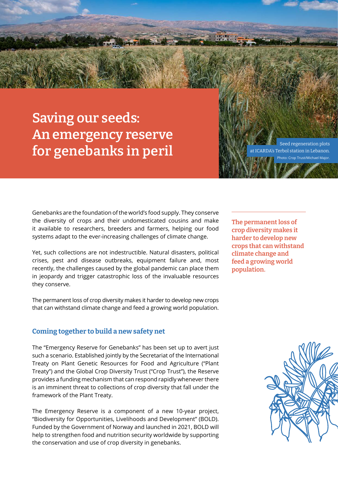# **Saving our seeds: An emergency reserve**  for genebanks in peril **Seed regeneration plots**

Photo: Crop Trust/Michael Major.

ICARDA's Terbol station in Lebanon

Genebanks are the foundation of the world's food supply. They conserve the diversity of crops and their undomesticated cousins and make it available to researchers, breeders and farmers, helping our food systems adapt to the ever-increasing challenges of climate change.

Yet, such collections are not indestructible. Natural disasters, political crises, pest and disease outbreaks, equipment failure and, most recently, the challenges caused by the global pandemic can place them in jeopardy and trigger catastrophic loss of the invaluable resources they conserve.

The permanent loss of crop diversity makes it harder to develop new crops that can withstand climate change and feed a growing world population.

#### **Coming together to build a new safety net**

The "Emergency Reserve for Genebanks" has been set up to avert just such a scenario. Established jointly by the Secretariat of the International Treaty on Plant Genetic Resources for Food and Agriculture ("Plant Treaty") and the Global Crop Diversity Trust ("Crop Trust"), the Reserve provides a funding mechanism that can respond rapidly whenever there is an imminent threat to collections of crop diversity that fall under the framework of the Plant Treaty.

The Emergency Reserve is a component of a new 10-year project, "Biodiversity for Opportunities, Livelihoods and Development" (BOLD). Funded by the Government of Norway and launched in 2021, BOLD will help to strengthen food and nutrition security worldwide by supporting the conservation and use of crop diversity in genebanks.

**The permanent loss of crop diversity makes it harder to develop new crops that can withstand climate change and feed a growing world population.**